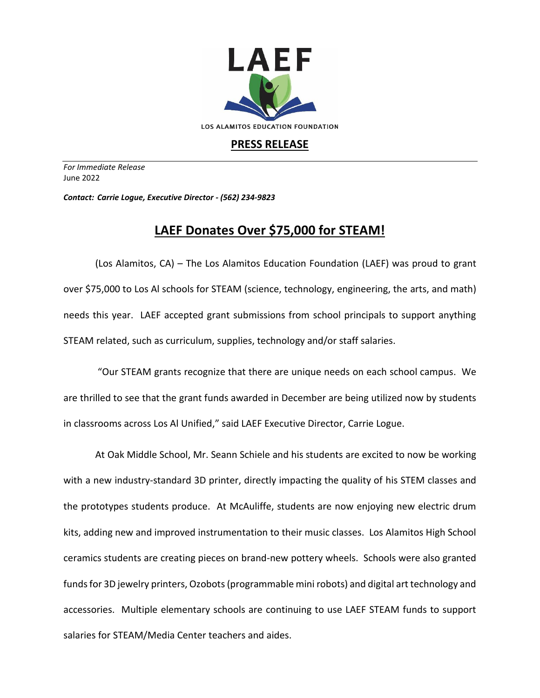

## **PRESS RELEASE**

*For Immediate Release*  June 2022

*Contact: Carrie Logue, Executive Director - (562) 234-9823*

## **LAEF Donates Over \$75,000 for STEAM!**

(Los Alamitos, CA) – The Los Alamitos Education Foundation (LAEF) was proud to grant over \$75,000 to Los Al schools for STEAM (science, technology, engineering, the arts, and math) needs this year. LAEF accepted grant submissions from school principals to support anything STEAM related, such as curriculum, supplies, technology and/or staff salaries.

"Our STEAM grants recognize that there are unique needs on each school campus. We are thrilled to see that the grant funds awarded in December are being utilized now by students in classrooms across Los Al Unified," said LAEF Executive Director, Carrie Logue.

At Oak Middle School, Mr. Seann Schiele and his students are excited to now be working with a new industry-standard 3D printer, directly impacting the quality of his STEM classes and the prototypes students produce. At McAuliffe, students are now enjoying new electric drum kits, adding new and improved instrumentation to their music classes. Los Alamitos High School ceramics students are creating pieces on brand-new pottery wheels. Schools were also granted funds for 3D jewelry printers, Ozobots (programmable mini robots) and digital art technology and accessories. Multiple elementary schools are continuing to use LAEF STEAM funds to support salaries for STEAM/Media Center teachers and aides.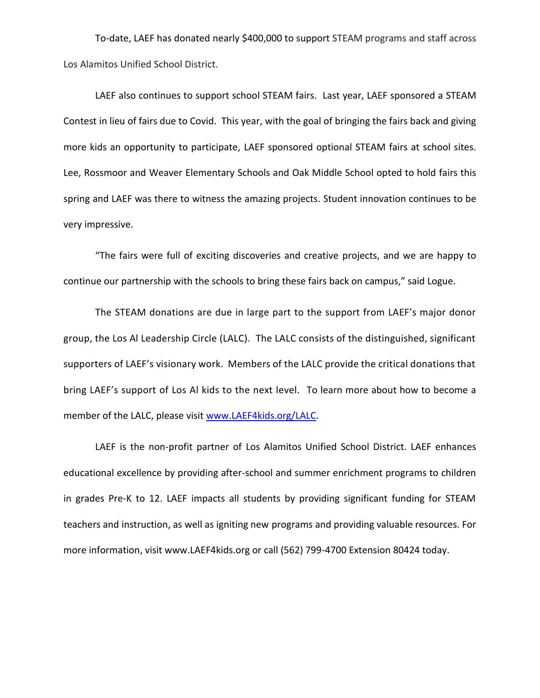To-date, LAEF has donated nearly \$400,000 to support STEAM programs and staff across Los Alamitos Unified School District.

LAEF also continues to support school STEAM fairs. Last year, LAEF sponsored a STEAM Contest in lieu of fairs due to Covid. This year, with the goal of bringing the fairs back and giving more kids an opportunity to participate, LAEF sponsored optional STEAM fairs at school sites. Lee, Rossmoor and Weaver Elementary Schools and Oak Middle School opted to hold fairs this spring and LAEF was there to witness the amazing projects. Student innovation continues to be very impressive.

"The fairs were full of exciting discoveries and creative projects, and we are happy to continue our partnership with the schools to bring these fairs back on campus," said Logue.

The STEAM donations are due in large part to the support from LAEF's major donor group, the Los Al Leadership Circle (LALC). The LALC consists of the distinguished, significant supporters of LAEF's visionary work. Members of the LALC provide the critical donations that bring LAEF's support of Los Al kids to the next level. To learn more about how to become a member of the LALC, please visit [www.LAEF4kids.org/LALC.](http://www.laef4kids.org/LALC)

LAEF is the non-profit partner of Los Alamitos Unified School District. LAEF enhances educational excellence by providing after-school and summer enrichment programs to children in grades Pre-K to 12. LAEF impacts all students by providing significant funding for STEAM teachers and instruction, as well as igniting new programs and providing valuable resources. For more information, visit www.LAEF4kids.org or call (562) 799-4700 Extension 80424 today.